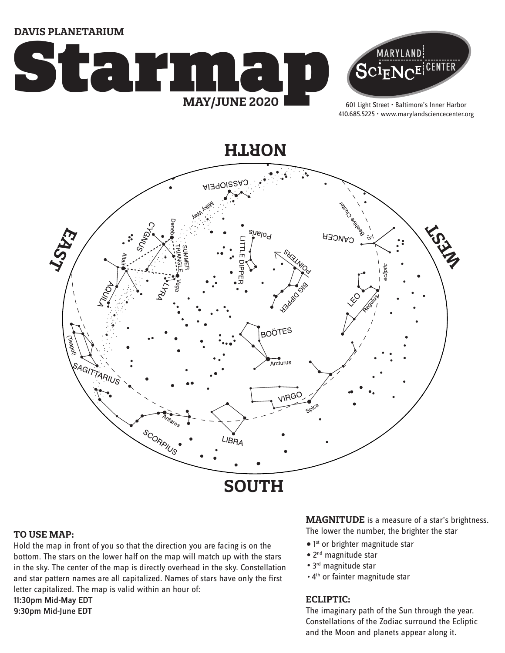**DAVIS PLANETARIUM**





601 Light Street • Baltimore's Inner Harbor 410.685.5225 • www.marylandsciencecenter.org

**NORTH**



#### **TO USE MAP:**

Hold the map in front of you so that the direction you are facing is on the bottom. The stars on the lower half on the map will match up with the stars in the sky. The center of the map is directly overhead in the sky. Constellation and star pattern names are all capitalized. Names of stars have only the first letter capitalized. The map is valid within an hour of: 11:30pm Mid-May EDT 9:30pm Mid-June EDT

**MAGNITUDE** is a measure of a star's brightness. The lower the number, the brighter the star

- 1<sup>st</sup> or brighter magnitude star
- 2<sup>nd</sup> magnitude star
- 3<sup>rd</sup> magnitude star
- . 4<sup>th</sup> or fainter magnitude star

#### **ECLIPTIC:**

The imaginary path of the Sun through the year. Constellations of the Zodiac surround the Ecliptic and the Moon and planets appear along it.